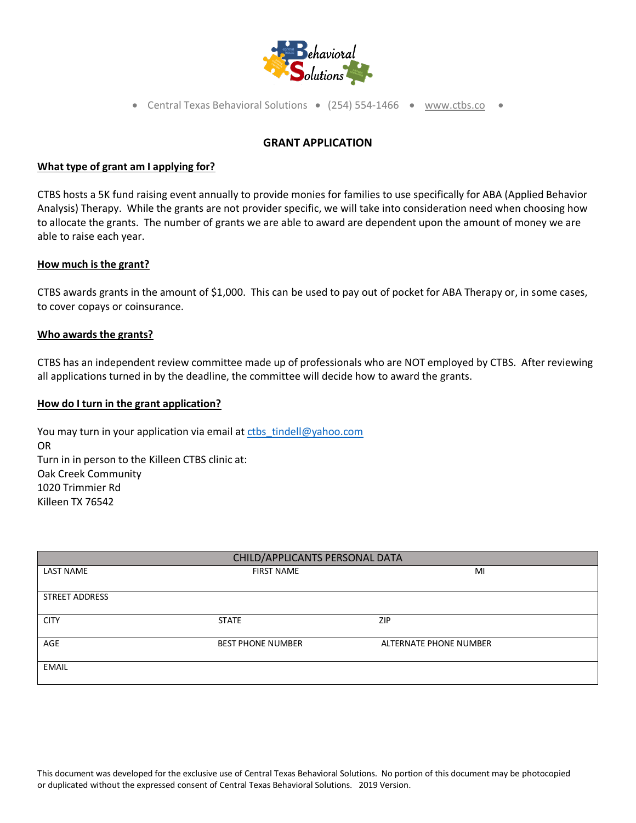

• Central Texas Behavioral Solutions •  $(254)$  554-1466 • [www.ctbs.co](http://www.ctbs.co/) •

# **GRANT APPLICATION**

#### **What type of grant am I applying for?**

CTBS hosts a 5K fund raising event annually to provide monies for families to use specifically for ABA (Applied Behavior Analysis) Therapy. While the grants are not provider specific, we will take into consideration need when choosing how to allocate the grants. The number of grants we are able to award are dependent upon the amount of money we are able to raise each year.

#### **How much is the grant?**

CTBS awards grants in the amount of \$1,000. This can be used to pay out of pocket for ABA Therapy or, in some cases, to cover copays or coinsurance.

## **Who awards the grants?**

CTBS has an independent review committee made up of professionals who are NOT employed by CTBS. After reviewing all applications turned in by the deadline, the committee will decide how to award the grants.

## **How do I turn in the grant application?**

You may turn in your application via email at ctbs\_tindell@yahoo.com OR Turn in in person to the Killeen CTBS clinic at: Oak Creek Community 1020 Trimmier Rd Killeen TX 76542

| CHILD/APPLICANTS PERSONAL DATA |                          |                        |  |  |  |
|--------------------------------|--------------------------|------------------------|--|--|--|
| <b>LAST NAME</b>               | <b>FIRST NAME</b>        | MI                     |  |  |  |
| <b>STREET ADDRESS</b>          |                          |                        |  |  |  |
| <b>CITY</b>                    | <b>STATE</b>             | <b>ZIP</b>             |  |  |  |
| AGE                            | <b>BEST PHONE NUMBER</b> | ALTERNATE PHONE NUMBER |  |  |  |
| EMAIL                          |                          |                        |  |  |  |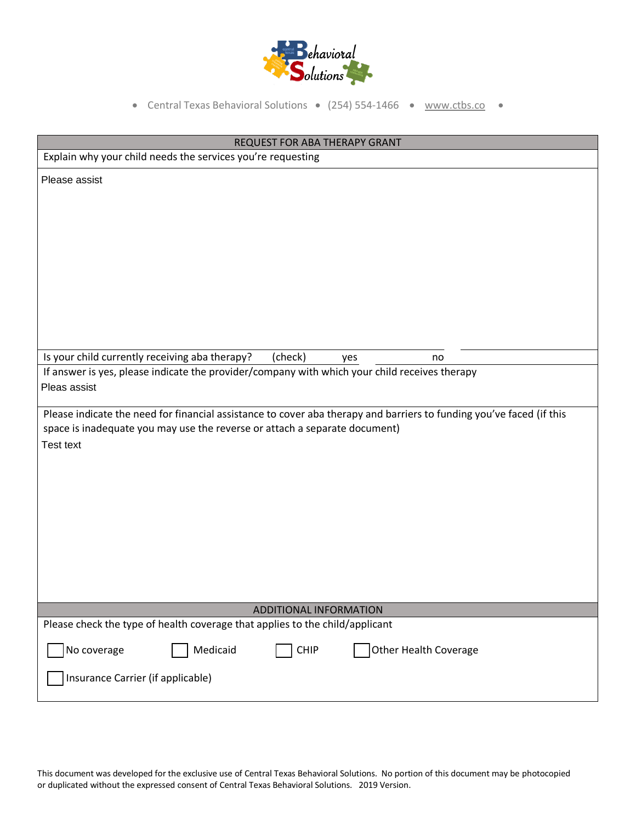

• Central Texas Behavioral Solutions • (254) 554-1466 • [www.ctbs.co](http://www.ctbs.co/) •

| REQUEST FOR ABA THERAPY GRANT                                                                                                                                                                                                                                                                                                                                                                              |  |  |  |  |
|------------------------------------------------------------------------------------------------------------------------------------------------------------------------------------------------------------------------------------------------------------------------------------------------------------------------------------------------------------------------------------------------------------|--|--|--|--|
| Explain why your child needs the services you're requesting                                                                                                                                                                                                                                                                                                                                                |  |  |  |  |
| Please assist                                                                                                                                                                                                                                                                                                                                                                                              |  |  |  |  |
| Is your child currently receiving aba therapy?<br>(check)<br>no<br>yes<br>If answer is yes, please indicate the provider/company with which your child receives therapy<br>Pleas assist<br>Please indicate the need for financial assistance to cover aba therapy and barriers to funding you've faced (if this<br>space is inadequate you may use the reverse or attach a separate document)<br>Test text |  |  |  |  |
| ADDITIONAL INFORMATION<br>Please check the type of health coverage that applies to the child/applicant                                                                                                                                                                                                                                                                                                     |  |  |  |  |
| Medicaid<br>No coverage<br><b>CHIP</b><br>Other Health Coverage<br>Insurance Carrier (if applicable)                                                                                                                                                                                                                                                                                                       |  |  |  |  |

This document was developed for the exclusive use of Central Texas Behavioral Solutions. No portion of this document may be photocopied or duplicated without the expressed consent of Central Texas Behavioral Solutions. 2019 Version.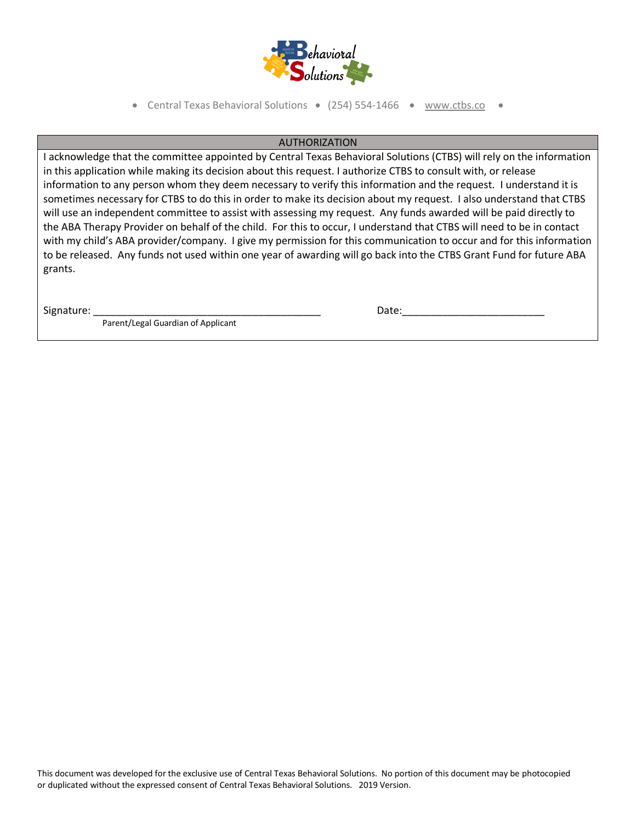

• Central Texas Behavioral Solutions •  $(254)$  554-1466 • [www.ctbs.co](http://www.ctbs.co/) •

## AUTHORIZATION

I acknowledge that the committee appointed by Central Texas Behavioral Solutions (CTBS) will rely on the information in this application while making its decision about this request. I authorize CTBS to consult with, or release information to any person whom they deem necessary to verify this information and the request. I understand it is sometimes necessary for CTBS to do this in order to make its decision about my request. I also understand that CTBS will use an independent committee to assist with assessing my request. Any funds awarded will be paid directly to the ABA Therapy Provider on behalf of the child. For this to occur, I understand that CTBS will need to be in contact with my child's ABA provider/company. I give my permission for this communication to occur and for this information to be released. Any funds not used within one year of awarding will go back into the CTBS Grant Fund for future ABA grants.

Parent/Legal Guardian of Applicant

Signature: \_\_\_\_\_\_\_\_\_\_\_\_\_\_\_\_\_\_\_\_\_\_\_\_\_\_\_\_\_\_\_\_\_\_\_\_\_\_\_\_ Date:\_\_\_\_\_\_\_\_\_\_\_\_\_\_\_\_\_\_\_\_\_\_\_\_\_